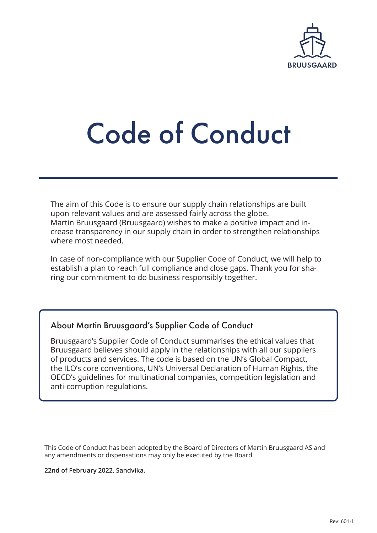

# Code of Conduct

The aim of this Code is to ensure our supply chain relationships are built upon relevant values and are assessed fairly across the globe. Martin Bruusgaard (Bruusgaard) wishes to make a positive impact and increase transparency in our supply chain in order to strengthen relationships where most needed.

In case of non-compliance with our Supplier Code of Conduct, we will help to establish a plan to reach full compliance and close gaps. Thank you for sharing our commitment to do business responsibly together.

# About Martin Bruusgaard's Supplier Code of Conduct

Bruusgaard's Supplier Code of Conduct summarises the ethical values that Bruusgaard believes should apply in the relationships with all our suppliers of products and services. The code is based on the UN's Global Compact, the ILO's core conventions, UN's Universal Declaration of Human Rights, the OECD's guidelines for multinational companies, competition legislation and anti-corruption regulations.

This Code of Conduct has been adopted by the Board of Directors of Martin Bruusgaard AS and any amendments or dispensations may only be executed by the Board.

**22nd of February 2022, Sandvika.**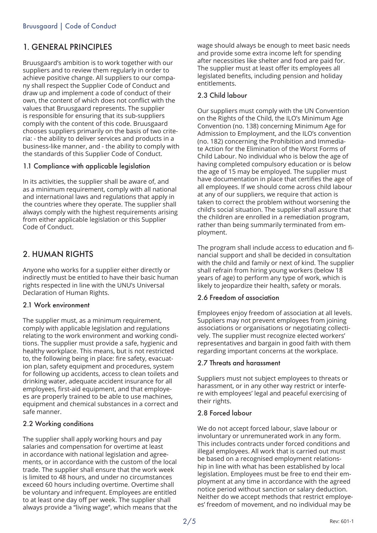# 1. GENERAL PRINCIPLES

Bruusgaard's ambition is to work together with our suppliers and to review them regularly in order to achieve positive change. All suppliers to our company shall respect the Supplier Code of Conduct and draw up and implement a code of conduct of their own, the content of which does not conflict with the values that Bruusgaard represents. The supplier is responsible for ensuring that its sub-suppliers comply with the content of this code. Bruusgaard chooses suppliers primarily on the basis of two criteria: - the ability to deliver services and products in a business-like manner, and - the ability to comply with the standards of this Supplier Code of Conduct.

## 1.1 Compliance with applicable legislation

In its activities, the supplier shall be aware of, and as a minimum requirement, comply with all national and international laws and regulations that apply in the countries where they operate. The supplier shall always comply with the highest requirements arising from either applicable legislation or this Supplier Code of Conduct.

# 2. HUMAN RIGHTS

Anyone who works for a supplier either directly or indirectly must be entitled to have their basic human rights respected in line with the UNU's Universal Declaration of Human Rights.

#### 2.1 Work environment

The supplier must, as a minimum requirement, comply with applicable legislation and regulations relating to the work environment and working conditions. The supplier must provide a safe, hygienic and healthy workplace. This means, but is not restricted to, the following being in place: fire safety, evacuation plan, safety equipment and procedures, system for following up accidents, access to clean toilets and drinking water, adequate accident insurance for all employees, first-aid equipment, and that employees are properly trained to be able to use machines, equipment and chemical substances in a correct and safe manner.

## 2.2 Working conditions

The supplier shall apply working hours and pay salaries and compensation for overtime at least in accordance with national legislation and agreements, or in accordance with the custom of the local trade. The supplier shall ensure that the work week is limited to 48 hours, and under no circumstances exceed 60 hours including overtime. Overtime shall be voluntary and infrequent. Employees are entitled to at least one day off per week. The supplier shall always provide a "living wage", which means that the

wage should always be enough to meet basic needs and provide some extra income left for spending after necessities like shelter and food are paid for. The supplier must at least offer its employees all legislated benefits, including pension and holiday entitlements.

## 2.3 Child labour

Our suppliers must comply with the UN Convention on the Rights of the Child, the ILO's Minimum Age Convention (no. 138) concerning Minimum Age for Admission to Employment, and the ILO's convention (no. 182) concerning the Prohibition and Immediate Action for the Elimination of the Worst Forms of Child Labour. No individual who is below the age of having completed compulsory education or is below the age of 15 may be employed. The supplier must have documentation in place that certifies the age of all employees. If we should come across child labour at any of our suppliers, we require that action is taken to correct the problem without worsening the child's social situation. The supplier shall assure that the children are enrolled in a remediation program, rather than being summarily terminated from employment.

The program shall include access to education and financial support and shall be decided in consultation with the child and family or next of kind. The supplier shall refrain from hiring young workers (below 18 years of age) to perform any type of work, which is likely to jeopardize their health, safety or morals.

#### 2.6 Freedom of association

Employees enjoy freedom of association at all levels. Suppliers may not prevent employees from joining associations or organisations or negotiating collectively. The supplier must recognize elected workers' representatives and bargain in good faith with them regarding important concerns at the workplace.

## 2.7 Threats and harassment

Suppliers must not subject employees to threats or harassment, or in any other way restrict or interfere with employees' legal and peaceful exercising of their rights.

#### 2.8 Forced labour

We do not accept forced labour, slave labour or involuntary or unremunerated work in any form. This includes contracts under forced conditions and illegal employees. All work that is carried out must be based on a recognised employment relationship in line with what has been established by local legislation. Employees must be free to end their employment at any time in accordance with the agreed notice period without sanction or salary deduction. Neither do we accept methods that restrict employees' freedom of movement, and no individual may be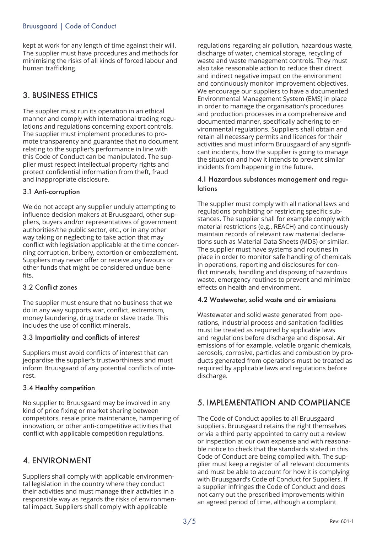## Bruusgaard | Code of Conduct

kept at work for any length of time against their will. The supplier must have procedures and methods for minimising the risks of all kinds of forced labour and human trafficking.

# 3. BUSINESS ETHICS

The supplier must run its operation in an ethical manner and comply with international trading regulations and regulations concerning export controls. The supplier must implement procedures to promote transparency and guarantee that no document relating to the supplier's performance in line with this Code of Conduct can be manipulated. The supplier must respect intellectual property rights and protect confidential information from theft, fraud and inappropriate disclosure.

#### 3.1 Anti-corruption

We do not accept any supplier unduly attempting to influence decision makers at Bruusgaard, other suppliers, buyers and/or representatives of government authorities/the public sector, etc., or in any other way taking or neglecting to take action that may conflict with legislation applicable at the time concerning corruption, bribery, extortion or embezzlement. Suppliers may never offer or receive any favours or other funds that might be considered undue benefits.

## 3.2 Conflict zones

The supplier must ensure that no business that we do in any way supports war, conflict, extremism, money laundering, drug trade or slave trade. This includes the use of conflict minerals.

#### 3.3 Impartiality and conflicts of interest

Suppliers must avoid conflicts of interest that can jeopardise the supplier's trustworthiness and must inform Bruusgaard of any potential conflicts of interest.

#### 3.4 Healthy competition

No supplier to Bruusgaard may be involved in any kind of price fixing or market sharing between competitors, resale price maintenance, hampering of innovation, or other anti-competitive activities that conflict with applicable competition regulations.

# 4. ENVIRONMENT

Suppliers shall comply with applicable environmental legislation in the country where they conduct their activities and must manage their activities in a responsible way as regards the risks of environmental impact. Suppliers shall comply with applicable

regulations regarding air pollution, hazardous waste, discharge of water, chemical storage, recycling of waste and waste management controls. They must also take reasonable action to reduce their direct and indirect negative impact on the environment and continuously monitor improvement objectives. We encourage our suppliers to have a documented Environmental Management System (EMS) in place in order to manage the organisation's procedures and production processes in a comprehensive and documented manner, specifically adhering to environmental regulations. Suppliers shall obtain and retain all necessary permits and licences for their activities and must inform Bruusgaard of any significant incidents, how the supplier is going to manage the situation and how it intends to prevent similar incidents from happening in the future.

#### 4.1 Hazardous substances management and regulations

The supplier must comply with all national laws and regulations prohibiting or restricting specific substances. The supplier shall for example comply with material restrictions (e.g., REACH) and continuously maintain records of relevant raw material declarations such as Material Data Sheets (MDS) or similar. The supplier must have systems and routines in place in order to monitor safe handling of chemicals in operations, reporting and disclosures for conflict minerals, handling and disposing of hazardous waste, emergency routines to prevent and minimize effects on health and environment.

#### 4.2 Wastewater, solid waste and air emissions

Wastewater and solid waste generated from operations, industrial process and sanitation facilities must be treated as required by applicable laws and regulations before discharge and disposal. Air emissions of for example, volatile organic chemicals, aerosols, corrosive, particles and combustion by products generated from operations must be treated as required by applicable laws and regulations before discharge.

# 5. IMPLEMENTATION AND COMPLIANCE

The Code of Conduct applies to all Bruusgaard suppliers. Bruusgaard retains the right themselves or via a third party appointed to carry out a review or inspection at our own expense and with reasonable notice to check that the standards stated in this Code of Conduct are being complied with. The supplier must keep a register of all relevant documents and must be able to account for how it is complying with Bruusgaard's Code of Conduct for Suppliers. If a supplier infringes the Code of Conduct and does not carry out the prescribed improvements within an agreed period of time, although a complaint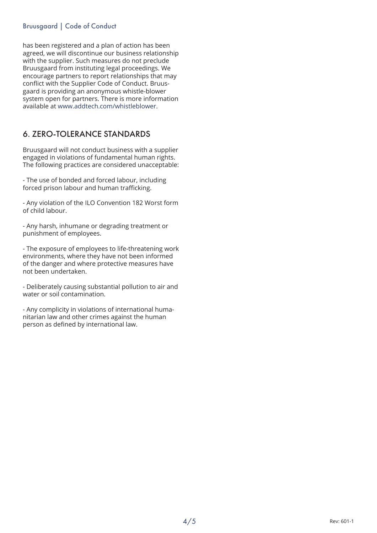## Bruusgaard | Code of Conduct

has been registered and a plan of action has been agreed, we will discontinue our business relationship with the supplier. Such measures do not preclude Bruusgaard from instituting legal proceedings. We encourage partners to report relationships that may conflict with the Supplier Code of Conduct. Bruusgaard is providing an anonymous whistle-blower system open for partners. There is more information available at www.addtech.com/whistleblower.

# 6. ZERO-TOLERANCE STANDARDS

Bruusgaard will not conduct business with a supplier engaged in violations of fundamental human rights. The following practices are considered unacceptable:

- The use of bonded and forced labour, including forced prison labour and human trafficking.

- Any violation of the ILO Convention 182 Worst form of child labour.

- Any harsh, inhumane or degrading treatment or punishment of employees.

- The exposure of employees to life-threatening work environments, where they have not been informed of the danger and where protective measures have not been undertaken.

- Deliberately causing substantial pollution to air and water or soil contamination.

- Any complicity in violations of international humanitarian law and other crimes against the human person as defined by international law.